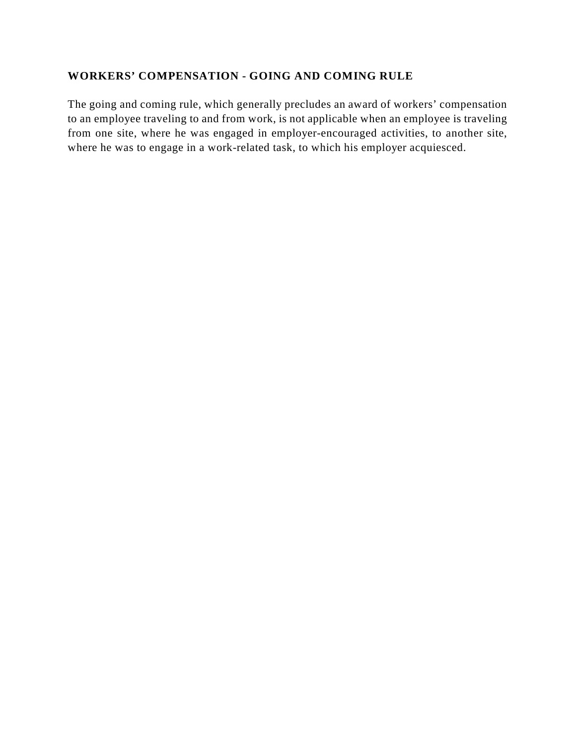## **WORKERS' COMPENSATION - GOING AND COMING RULE**

The going and coming rule, which generally precludes an award of workers' compensation to an employee traveling to and from work, is not applicable when an employee is traveling from one site, where he was engaged in employer-encouraged activities, to another site, where he was to engage in a work-related task, to which his employer acquiesced.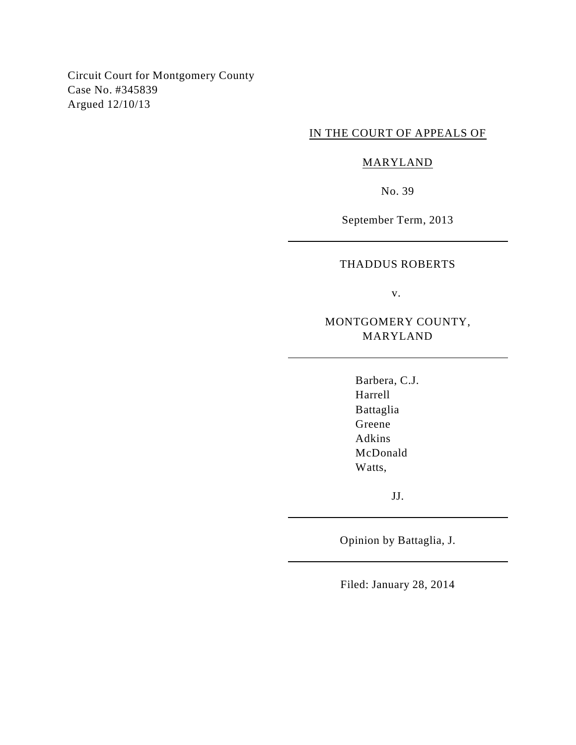Circuit Court for Montgomery County Case No. #345839 Argued 12/10/13

IN THE COURT OF APPEALS OF

## MARYLAND

No. 39

September Term, 2013

## THADDUS ROBERTS

v.

## MONTGOMERY COUNTY, MARYLAND

Barbera, C.J. Harrell Battaglia Greene Adkins McDonald Watts,

JJ.

Opinion by Battaglia, J.

Filed: January 28, 2014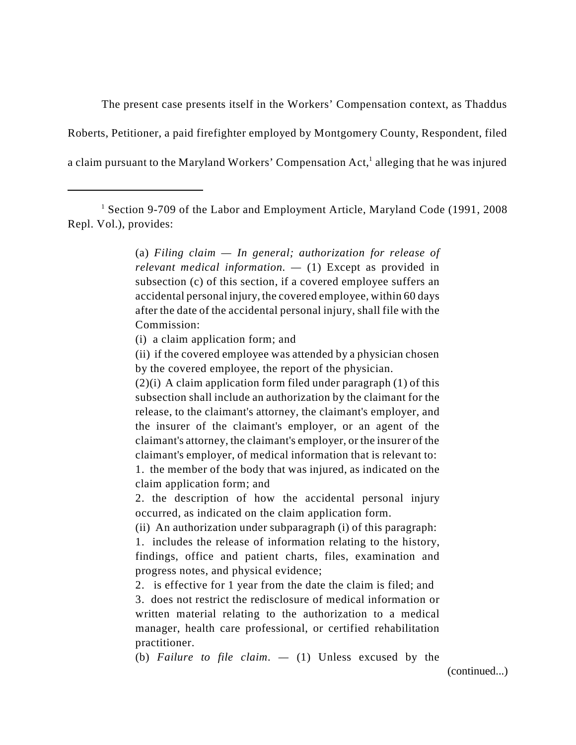The present case presents itself in the Workers' Compensation context, as Thaddus Roberts, Petitioner, a paid firefighter employed by Montgomery County, Respondent, filed a claim pursuant to the Maryland Workers' Compensation  $Act<sub>i</sub><sup>1</sup>$  alleging that he was injured

(a) *Filing claim — In general; authorization for release of relevant medical information. —* (1) Except as provided in subsection (c) of this section, if a covered employee suffers an accidental personal injury, the covered employee, within 60 days after the date of the accidental personal injury, shall file with the Commission:

(i) a claim application form; and

(ii) if the covered employee was attended by a physician chosen by the covered employee, the report of the physician.

(2)(i) A claim application form filed under paragraph (1) of this subsection shall include an authorization by the claimant for the release, to the claimant's attorney, the claimant's employer, and the insurer of the claimant's employer, or an agent of the claimant's attorney, the claimant's employer, or the insurer of the claimant's employer, of medical information that is relevant to:

1. the member of the body that was injured, as indicated on the claim application form; and

2. the description of how the accidental personal injury occurred, as indicated on the claim application form.

(ii) An authorization under subparagraph (i) of this paragraph:

1. includes the release of information relating to the history, findings, office and patient charts, files, examination and progress notes, and physical evidence;

2. is effective for 1 year from the date the claim is filed; and

3. does not restrict the redisclosure of medical information or written material relating to the authorization to a medical manager, health care professional, or certified rehabilitation practitioner.

(b) *Failure to file claim. —* (1) Unless excused by the

(continued...)

<sup>&</sup>lt;sup>1</sup> Section 9-709 of the Labor and Employment Article, Maryland Code (1991, 2008) Repl. Vol.), provides: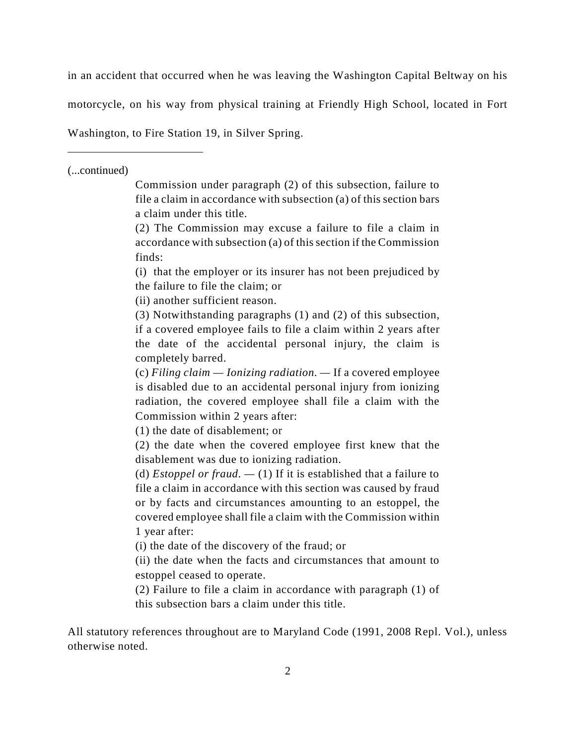in an accident that occurred when he was leaving the Washington Capital Beltway on his

motorcycle, on his way from physical training at Friendly High School, located in Fort

Washington, to Fire Station 19, in Silver Spring.

(...continued)

Commission under paragraph (2) of this subsection, failure to file a claim in accordance with subsection (a) of this section bars a claim under this title.

(2) The Commission may excuse a failure to file a claim in accordance with subsection (a) of this section if the Commission finds:

(i) that the employer or its insurer has not been prejudiced by the failure to file the claim; or

(ii) another sufficient reason.

(3) Notwithstanding paragraphs (1) and (2) of this subsection, if a covered employee fails to file a claim within 2 years after the date of the accidental personal injury, the claim is completely barred.

(c) *Filing claim — Ionizing radiation. —* If a covered employee is disabled due to an accidental personal injury from ionizing radiation, the covered employee shall file a claim with the Commission within 2 years after:

(1) the date of disablement; or

(2) the date when the covered employee first knew that the disablement was due to ionizing radiation.

(d) *Estoppel or fraud.*  $-$  (1) If it is established that a failure to file a claim in accordance with this section was caused by fraud or by facts and circumstances amounting to an estoppel, the covered employee shall file a claim with the Commission within 1 year after:

(i) the date of the discovery of the fraud; or

(ii) the date when the facts and circumstances that amount to estoppel ceased to operate.

(2) Failure to file a claim in accordance with paragraph (1) of this subsection bars a claim under this title.

All statutory references throughout are to Maryland Code (1991, 2008 Repl. Vol.), unless otherwise noted.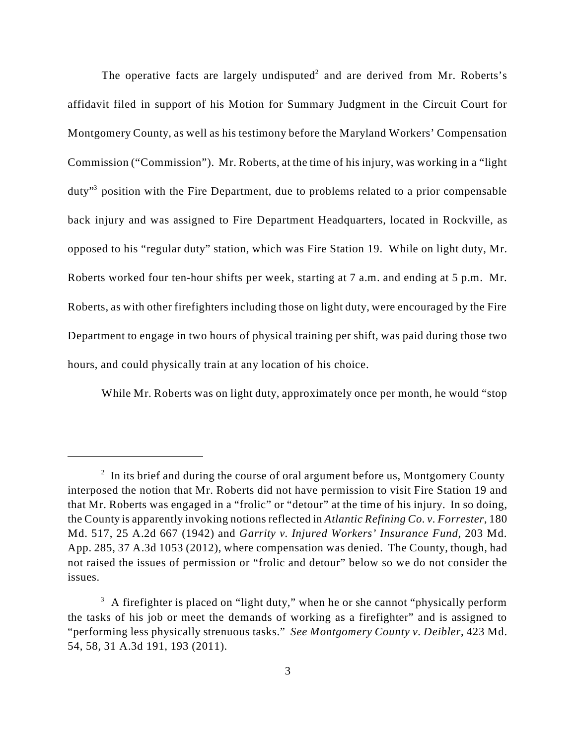The operative facts are largely undisputed<sup>2</sup> and are derived from Mr. Roberts's affidavit filed in support of his Motion for Summary Judgment in the Circuit Court for Montgomery County, as well as his testimony before the Maryland Workers' Compensation Commission ("Commission"). Mr. Roberts, at the time of his injury, was working in a "light duty<sup>3</sup> position with the Fire Department, due to problems related to a prior compensable back injury and was assigned to Fire Department Headquarters, located in Rockville, as opposed to his "regular duty" station, which was Fire Station 19. While on light duty, Mr. Roberts worked four ten-hour shifts per week, starting at 7 a.m. and ending at 5 p.m. Mr. Roberts, as with other firefighters including those on light duty, were encouraged by the Fire Department to engage in two hours of physical training per shift, was paid during those two hours, and could physically train at any location of his choice.

While Mr. Roberts was on light duty, approximately once per month, he would "stop"

 $\frac{1}{2}$  In its brief and during the course of oral argument before us, Montgomery County interposed the notion that Mr. Roberts did not have permission to visit Fire Station 19 and that Mr. Roberts was engaged in a "frolic" or "detour" at the time of his injury. In so doing, the County is apparently invoking notions reflected in *Atlantic Refining Co. v. Forrester*, 180 Md. 517, 25 A.2d 667 (1942) and *Garrity v. Injured Workers' Insurance Fund*, 203 Md. App. 285, 37 A.3d 1053 (2012), where compensation was denied. The County, though, had not raised the issues of permission or "frolic and detour" below so we do not consider the issues.

 $\beta$  A firefighter is placed on "light duty," when he or she cannot "physically perform" the tasks of his job or meet the demands of working as a firefighter" and is assigned to "performing less physically strenuous tasks." *See Montgomery County v. Deibler*, 423 Md. 54, 58, 31 A.3d 191, 193 (2011).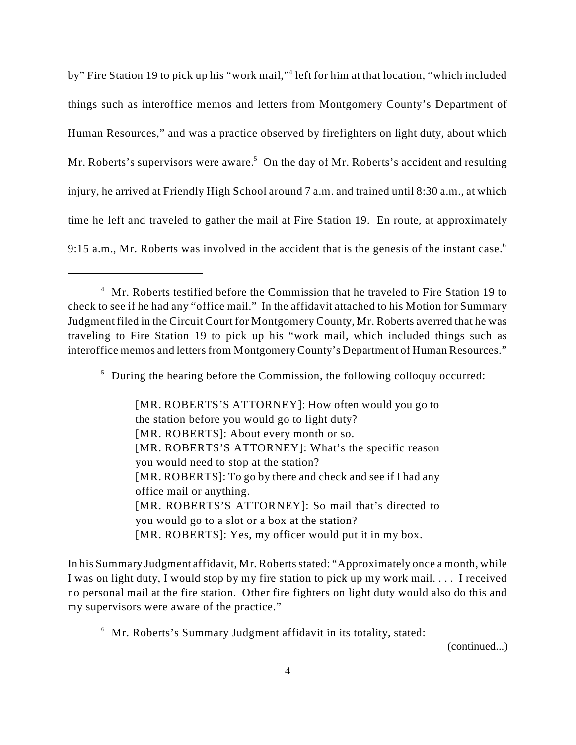by" Fire Station 19 to pick up his "work mail,"<sup>4</sup> left for him at that location, "which included things such as interoffice memos and letters from Montgomery County's Department of Human Resources," and was a practice observed by firefighters on light duty, about which Mr. Roberts's supervisors were aware.<sup>5</sup> On the day of Mr. Roberts's accident and resulting injury, he arrived at Friendly High School around 7 a.m. and trained until 8:30 a.m., at which time he left and traveled to gather the mail at Fire Station 19. En route, at approximately 9:15 a.m., Mr. Roberts was involved in the accident that is the genesis of the instant case.<sup>6</sup>

<sup>5</sup> During the hearing before the Commission, the following colloquy occurred:

[MR. ROBERTS'S ATTORNEY]: How often would you go to the station before you would go to light duty? [MR. ROBERTS]: About every month or so. [MR. ROBERTS'S ATTORNEY]: What's the specific reason you would need to stop at the station? [MR. ROBERTS]: To go by there and check and see if I had any office mail or anything. [MR. ROBERTS'S ATTORNEY]: So mail that's directed to you would go to a slot or a box at the station? [MR. ROBERTS]: Yes, my officer would put it in my box.

In his Summary Judgment affidavit, Mr. Roberts stated: "Approximately once a month, while I was on light duty, I would stop by my fire station to pick up my work mail. . . . I received no personal mail at the fire station. Other fire fighters on light duty would also do this and my supervisors were aware of the practice."

 $6$  Mr. Roberts's Summary Judgment affidavit in its totality, stated:

(continued...)

<sup>&</sup>lt;sup>4</sup> Mr. Roberts testified before the Commission that he traveled to Fire Station 19 to check to see if he had any "office mail." In the affidavit attached to his Motion for Summary Judgment filed in the Circuit Court for Montgomery County, Mr. Roberts averred that he was traveling to Fire Station 19 to pick up his "work mail, which included things such as interoffice memos and letters from Montgomery County's Department of Human Resources."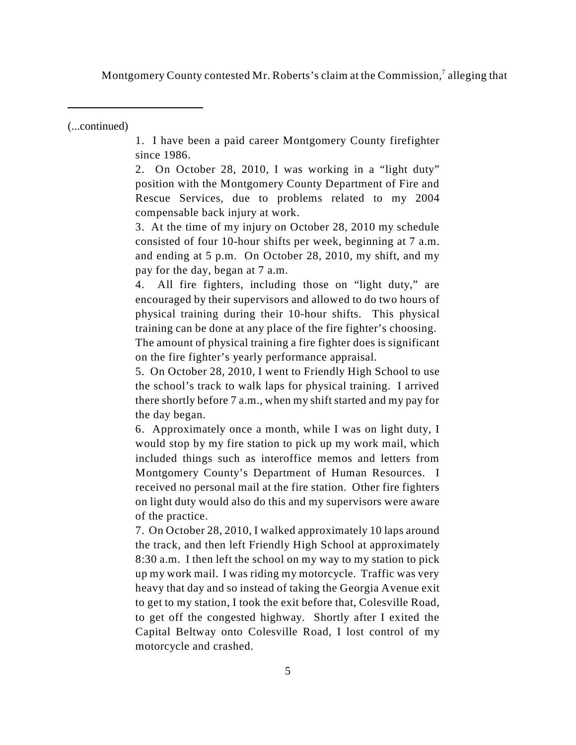Montgomery County contested Mr. Roberts's claim at the Commission, $<sup>7</sup>$  alleging that</sup>

(...continued)

1. I have been a paid career Montgomery County firefighter since 1986.

2. On October 28, 2010, I was working in a "light duty" position with the Montgomery County Department of Fire and Rescue Services, due to problems related to my 2004 compensable back injury at work.

3. At the time of my injury on October 28, 2010 my schedule consisted of four 10-hour shifts per week, beginning at 7 a.m. and ending at 5 p.m. On October 28, 2010, my shift, and my pay for the day, began at 7 a.m.

4. All fire fighters, including those on "light duty," are encouraged by their supervisors and allowed to do two hours of physical training during their 10-hour shifts. This physical training can be done at any place of the fire fighter's choosing. The amount of physical training a fire fighter does is significant

on the fire fighter's yearly performance appraisal.

5. On October 28, 2010, I went to Friendly High School to use the school's track to walk laps for physical training. I arrived there shortly before 7 a.m., when my shift started and my pay for the day began.

6. Approximately once a month, while I was on light duty, I would stop by my fire station to pick up my work mail, which included things such as interoffice memos and letters from Montgomery County's Department of Human Resources. I received no personal mail at the fire station. Other fire fighters on light duty would also do this and my supervisors were aware of the practice.

7. On October 28, 2010, I walked approximately 10 laps around the track, and then left Friendly High School at approximately 8:30 a.m. I then left the school on my way to my station to pick up my work mail. I was riding my motorcycle. Traffic was very heavy that day and so instead of taking the Georgia Avenue exit to get to my station, I took the exit before that, Colesville Road, to get off the congested highway. Shortly after I exited the Capital Beltway onto Colesville Road, I lost control of my motorcycle and crashed.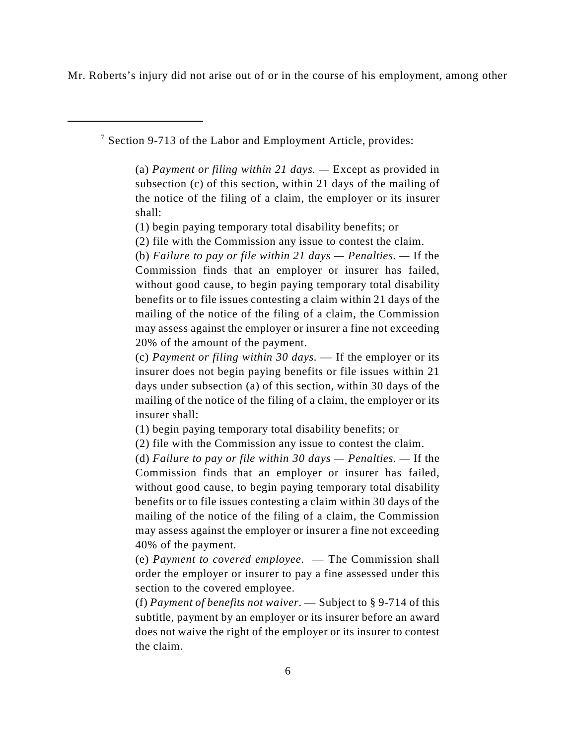Mr. Roberts's injury did not arise out of or in the course of his employment, among other

 $\frac{7}{7}$  Section 9-713 of the Labor and Employment Article, provides:

(a) *Payment or filing within 21 days. —* Except as provided in subsection (c) of this section, within 21 days of the mailing of the notice of the filing of a claim, the employer or its insurer shall:

(1) begin paying temporary total disability benefits; or

(2) file with the Commission any issue to contest the claim.

(b) *Failure to pay or file within 21 days — Penalties. —* If the Commission finds that an employer or insurer has failed, without good cause, to begin paying temporary total disability benefits or to file issues contesting a claim within 21 days of the mailing of the notice of the filing of a claim, the Commission may assess against the employer or insurer a fine not exceeding 20% of the amount of the payment.

(c) *Payment or filing within 30 days.* — If the employer or its insurer does not begin paying benefits or file issues within 21 days under subsection (a) of this section, within 30 days of the mailing of the notice of the filing of a claim, the employer or its insurer shall:

(1) begin paying temporary total disability benefits; or

(2) file with the Commission any issue to contest the claim.

(d) *Failure to pay or file within 30 days — Penalties. —* If the Commission finds that an employer or insurer has failed, without good cause, to begin paying temporary total disability benefits or to file issues contesting a claim within 30 days of the mailing of the notice of the filing of a claim, the Commission may assess against the employer or insurer a fine not exceeding 40% of the payment.

(e) *Payment to covered employee.* — The Commission shall order the employer or insurer to pay a fine assessed under this section to the covered employee.

(f) *Payment of benefits not waiver*. — Subject to § 9-714 of this subtitle, payment by an employer or its insurer before an award does not waive the right of the employer or its insurer to contest the claim.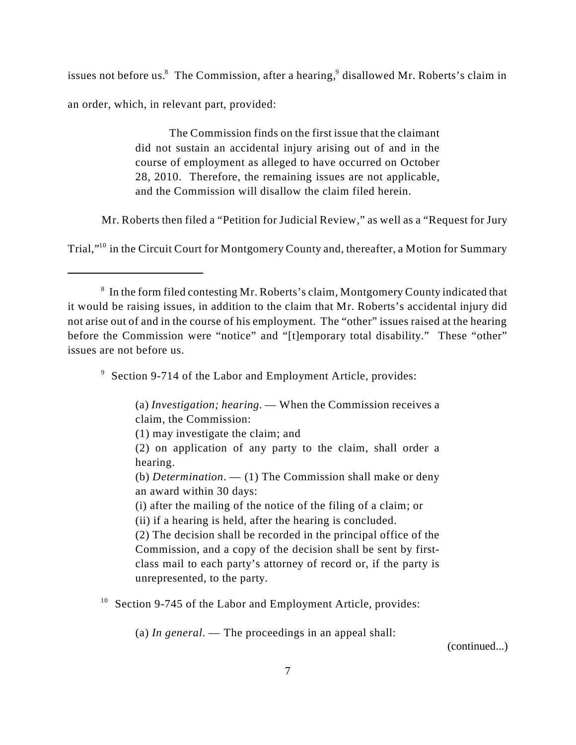issues not before us. ${}^{8}$  The Commission, after a hearing, disallowed Mr. Roberts's claim in an order, which, in relevant part, provided:

> The Commission finds on the first issue that the claimant did not sustain an accidental injury arising out of and in the course of employment as alleged to have occurred on October 28, 2010. Therefore, the remaining issues are not applicable, and the Commission will disallow the claim filed herein.

Mr. Roberts then filed a "Petition for Judicial Review," as well as a "Request for Jury

Trial,"<sup>10</sup> in the Circuit Court for Montgomery County and, thereafter, a Motion for Summary

 $\degree$  Section 9-714 of the Labor and Employment Article, provides:

(a) *Investigation; hearing.* — When the Commission receives a claim, the Commission:

(1) may investigate the claim; and

(2) on application of any party to the claim, shall order a hearing.

(b) *Determination*. — (1) The Commission shall make or deny an award within 30 days:

(i) after the mailing of the notice of the filing of a claim; or

(ii) if a hearing is held, after the hearing is concluded.

(2) The decision shall be recorded in the principal office of the Commission, and a copy of the decision shall be sent by firstclass mail to each party's attorney of record or, if the party is unrepresented, to the party.

 $10$  Section 9-745 of the Labor and Employment Article, provides:

(a) *In general*. — The proceedings in an appeal shall:

(continued...)

 $8\,$  In the form filed contesting Mr. Roberts's claim, Montgomery County indicated that it would be raising issues, in addition to the claim that Mr. Roberts's accidental injury did not arise out of and in the course of his employment. The "other" issues raised at the hearing before the Commission were "notice" and "[t]emporary total disability." These "other" issues are not before us.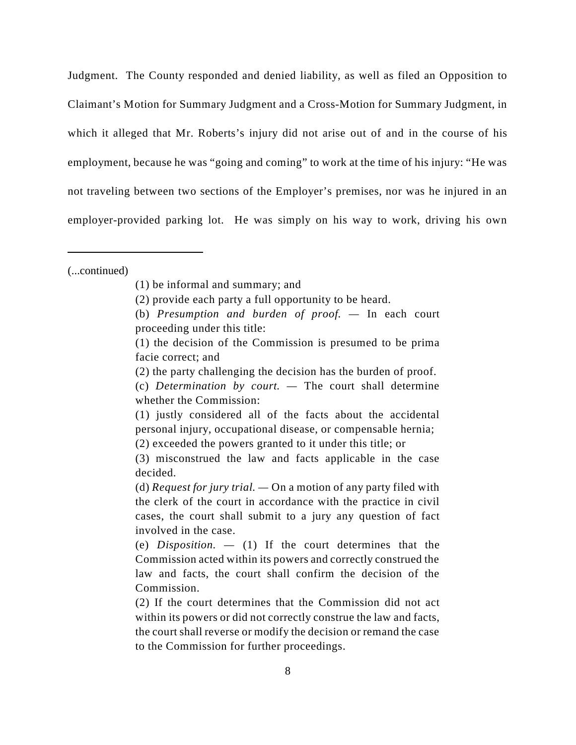Judgment. The County responded and denied liability, as well as filed an Opposition to Claimant's Motion for Summary Judgment and a Cross-Motion for Summary Judgment, in which it alleged that Mr. Roberts's injury did not arise out of and in the course of his employment, because he was "going and coming" to work at the time of his injury: "He was not traveling between two sections of the Employer's premises, nor was he injured in an employer-provided parking lot. He was simply on his way to work, driving his own

(...continued)

(2) provide each party a full opportunity to be heard.

<sup>(1)</sup> be informal and summary; and

<sup>(</sup>b) *Presumption and burden of proof. —* In each court proceeding under this title:

<sup>(1)</sup> the decision of the Commission is presumed to be prima facie correct; and

<sup>(2)</sup> the party challenging the decision has the burden of proof.

<sup>(</sup>c) *Determination by court. —* The court shall determine whether the Commission:

<sup>(1)</sup> justly considered all of the facts about the accidental personal injury, occupational disease, or compensable hernia;

<sup>(2)</sup> exceeded the powers granted to it under this title; or

<sup>(3)</sup> misconstrued the law and facts applicable in the case decided.

<sup>(</sup>d) *Request for jury trial. —* On a motion of any party filed with the clerk of the court in accordance with the practice in civil cases, the court shall submit to a jury any question of fact involved in the case.

<sup>(</sup>e) *Disposition. —* (1) If the court determines that the Commission acted within its powers and correctly construed the law and facts, the court shall confirm the decision of the Commission.

<sup>(2)</sup> If the court determines that the Commission did not act within its powers or did not correctly construe the law and facts, the court shall reverse or modify the decision or remand the case to the Commission for further proceedings.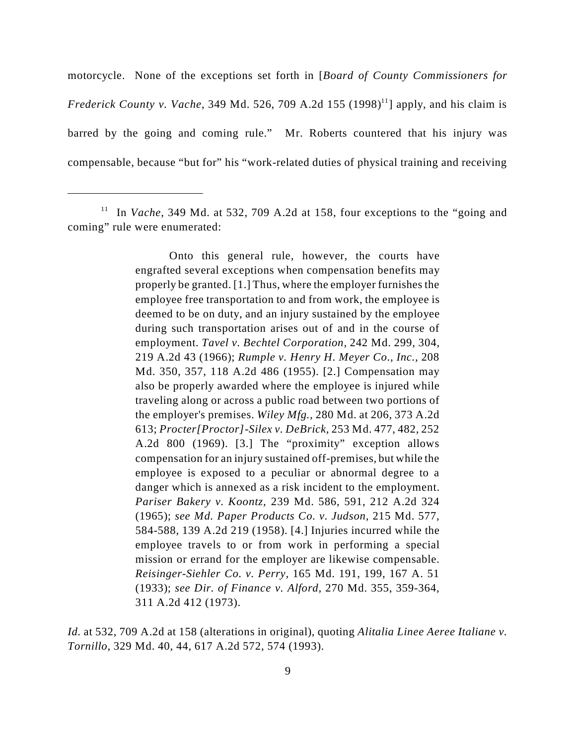motorcycle. None of the exceptions set forth in [*Board of County Commissioners for Frederick County v. Vache,* 349 Md. 526, 709 A.2d 155 (1998)<sup>11</sup>] apply, and his claim is barred by the going and coming rule." Mr. Roberts countered that his injury was compensable, because "but for" his "work-related duties of physical training and receiving

Onto this general rule, however, the courts have engrafted several exceptions when compensation benefits may properly be granted. [1.] Thus, where the employer furnishes the employee free transportation to and from work, the employee is deemed to be on duty, and an injury sustained by the employee during such transportation arises out of and in the course of employment. *Tavel v. Bechtel Corporation,* 242 Md. 299, 304, 219 A.2d 43 (1966); *Rumple v. Henry H. Meyer Co., Inc.,* 208 Md. 350, 357, 118 A.2d 486 (1955). [2.] Compensation may also be properly awarded where the employee is injured while traveling along or across a public road between two portions of the employer's premises. *Wiley Mfg.,* 280 Md. at 206, 373 A.2d 613; *Procter[Proctor]-Silex v. DeBrick,* 253 Md. 477, 482, 252 A.2d 800 (1969). [3.] The "proximity" exception allows compensation for an injury sustained off-premises, but while the employee is exposed to a peculiar or abnormal degree to a danger which is annexed as a risk incident to the employment. *Pariser Bakery v. Koontz,* 239 Md. 586, 591, 212 A.2d 324 (1965); *see Md. Paper Products Co. v. Judson,* 215 Md. 577, 584-588, 139 A.2d 219 (1958). [4.] Injuries incurred while the employee travels to or from work in performing a special mission or errand for the employer are likewise compensable. *Reisinger-Siehler Co. v. Perry,* 165 Md. 191, 199, 167 A. 51 (1933); *see Dir. of Finance v. Alford,* 270 Md. 355, 359-364, 311 A.2d 412 (1973).

*Id.* at 532, 709 A.2d at 158 (alterations in original), quoting *Alitalia Linee Aeree Italiane v. Tornillo*, 329 Md. 40, 44, 617 A.2d 572, 574 (1993).

<sup>&</sup>lt;sup>11</sup> In *Vache*, 349 Md. at 532, 709 A.2d at 158, four exceptions to the "going and coming" rule were enumerated: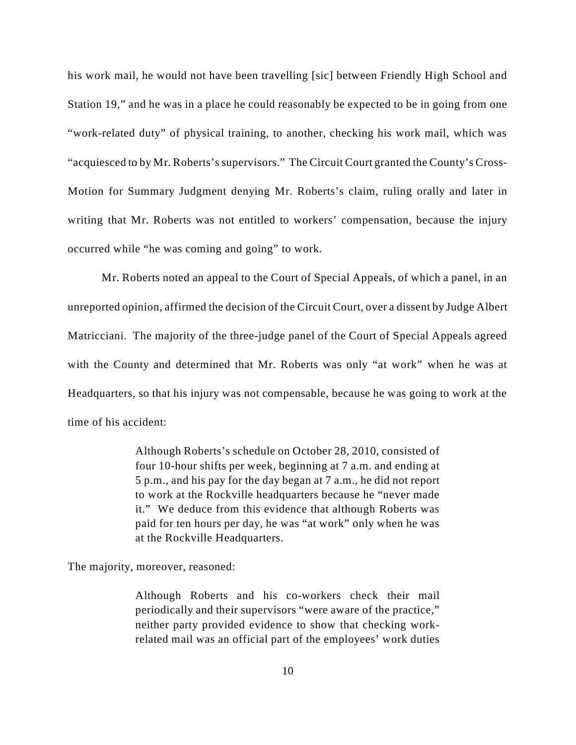his work mail, he would not have been travelling [sic] between Friendly High School and Station 19," and he was in a place he could reasonably be expected to be in going from one "work-related duty" of physical training, to another, checking his work mail, which was "acquiesced to by Mr. Roberts's supervisors." The Circuit Court granted the County's Cross-Motion for Summary Judgment denying Mr. Roberts's claim, ruling orally and later in writing that Mr. Roberts was not entitled to workers' compensation, because the injury occurred while "he was coming and going" to work.

Mr. Roberts noted an appeal to the Court of Special Appeals, of which a panel, in an unreported opinion, affirmed the decision of the Circuit Court, over a dissent by Judge Albert Matricciani. The majority of the three-judge panel of the Court of Special Appeals agreed with the County and determined that Mr. Roberts was only "at work" when he was at Headquarters, so that his injury was not compensable, because he was going to work at the time of his accident:

> Although Roberts's schedule on October 28, 2010, consisted of four 10-hour shifts per week, beginning at 7 a.m. and ending at 5 p.m., and his pay for the day began at 7 a.m., he did not report to work at the Rockville headquarters because he "never made it." We deduce from this evidence that although Roberts was paid for ten hours per day, he was "at work" only when he was at the Rockville Headquarters.

The majority, moreover, reasoned:

Although Roberts and his co-workers check their mail periodically and their supervisors "were aware of the practice," neither party provided evidence to show that checking workrelated mail was an official part of the employees' work duties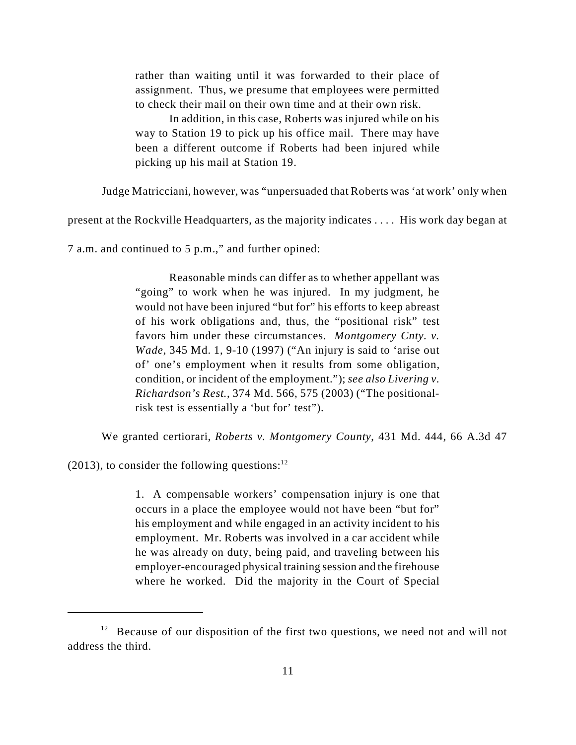rather than waiting until it was forwarded to their place of assignment. Thus, we presume that employees were permitted to check their mail on their own time and at their own risk.

In addition, in this case, Roberts was injured while on his way to Station 19 to pick up his office mail. There may have been a different outcome if Roberts had been injured while picking up his mail at Station 19.

Judge Matricciani, however, was "unpersuaded that Roberts was 'at work' only when

present at the Rockville Headquarters, as the majority indicates . . . . His work day began at

7 a.m. and continued to 5 p.m.," and further opined:

Reasonable minds can differ as to whether appellant was "going" to work when he was injured. In my judgment, he would not have been injured "but for" his efforts to keep abreast of his work obligations and, thus, the "positional risk" test favors him under these circumstances. *Montgomery Cnty. v. Wade*, 345 Md. 1, 9-10 (1997) ("An injury is said to 'arise out of' one's employment when it results from some obligation, condition, or incident of the employment."); *see also Livering v. Richardson's Rest.*, 374 Md. 566, 575 (2003) ("The positionalrisk test is essentially a 'but for' test").

We granted certiorari, *Roberts v. Montgomery County*, 431 Md. 444, 66 A.3d 47

 $(2013)$ , to consider the following questions:<sup>12</sup>

1. A compensable workers' compensation injury is one that occurs in a place the employee would not have been "but for" his employment and while engaged in an activity incident to his employment. Mr. Roberts was involved in a car accident while he was already on duty, being paid, and traveling between his employer-encouraged physical training session and the firehouse where he worked. Did the majority in the Court of Special

 $12$  Because of our disposition of the first two questions, we need not and will not address the third.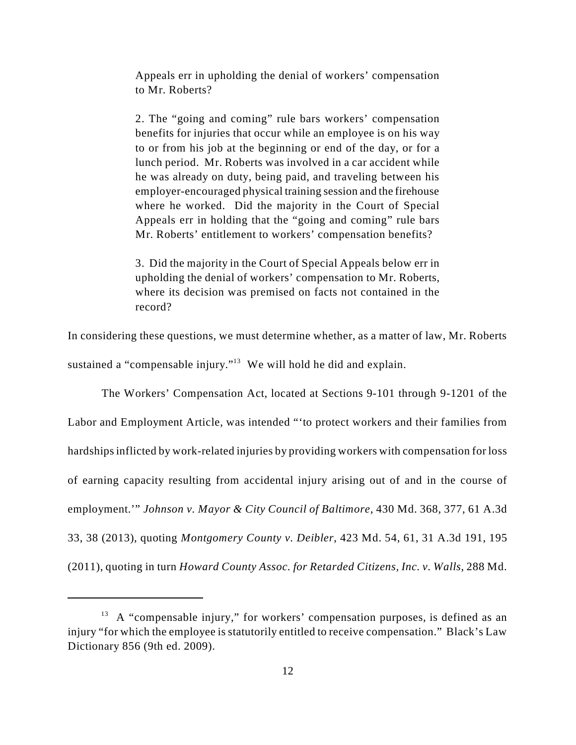Appeals err in upholding the denial of workers' compensation to Mr. Roberts?

2. The "going and coming" rule bars workers' compensation benefits for injuries that occur while an employee is on his way to or from his job at the beginning or end of the day, or for a lunch period. Mr. Roberts was involved in a car accident while he was already on duty, being paid, and traveling between his employer-encouraged physical training session and the firehouse where he worked. Did the majority in the Court of Special Appeals err in holding that the "going and coming" rule bars Mr. Roberts' entitlement to workers' compensation benefits?

3. Did the majority in the Court of Special Appeals below err in upholding the denial of workers' compensation to Mr. Roberts, where its decision was premised on facts not contained in the record?

In considering these questions, we must determine whether, as a matter of law, Mr. Roberts sustained a "compensable injury."<sup> $13$ </sup> We will hold he did and explain.

The Workers' Compensation Act, located at Sections 9-101 through 9-1201 of the Labor and Employment Article, was intended "'to protect workers and their families from hardships inflicted by work-related injuries by providing workers with compensation for loss of earning capacity resulting from accidental injury arising out of and in the course of employment.'" *Johnson v. Mayor & City Council of Baltimore*, 430 Md. 368, 377, 61 A.3d 33, 38 (2013), quoting *Montgomery County v. Deibler*, 423 Md. 54, 61, 31 A.3d 191, 195 (2011), quoting in turn *Howard County Assoc. for Retarded Citizens, Inc. v. Walls*, 288 Md.

 $^{13}$  A "compensable injury," for workers' compensation purposes, is defined as an injury "for which the employee is statutorily entitled to receive compensation." Black's Law Dictionary 856 (9th ed. 2009).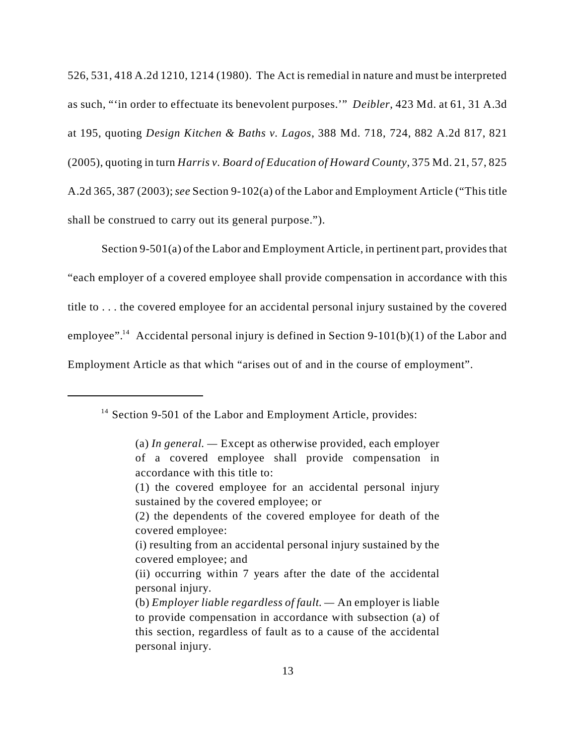526, 531, 418 A.2d 1210, 1214 (1980). The Act is remedial in nature and must be interpreted as such, "'in order to effectuate its benevolent purposes.'" *Deibler*, 423 Md. at 61, 31 A.3d at 195, quoting *Design Kitchen & Baths v. Lagos*, 388 Md. 718, 724, 882 A.2d 817, 821 (2005), quoting in turn *Harris v. Board of Education of Howard County*, 375 Md. 21, 57, 825 A.2d 365, 387 (2003); *see* Section 9-102(a) of the Labor and Employment Article ("This title shall be construed to carry out its general purpose.").

Section 9-501(a) of the Labor and Employment Article, in pertinent part, provides that "each employer of a covered employee shall provide compensation in accordance with this title to . . . the covered employee for an accidental personal injury sustained by the covered employee".<sup>14</sup> Accidental personal injury is defined in Section 9-101(b)(1) of the Labor and Employment Article as that which "arises out of and in the course of employment".

 $14$  Section 9-501 of the Labor and Employment Article, provides:

<sup>(</sup>a) *In general. —* Except as otherwise provided, each employer of a covered employee shall provide compensation in accordance with this title to:

<sup>(1)</sup> the covered employee for an accidental personal injury sustained by the covered employee; or

<sup>(2)</sup> the dependents of the covered employee for death of the covered employee:

<sup>(</sup>i) resulting from an accidental personal injury sustained by the covered employee; and

<sup>(</sup>ii) occurring within 7 years after the date of the accidental personal injury.

<sup>(</sup>b) *Employer liable regardless of fault. —* An employer is liable to provide compensation in accordance with subsection (a) of this section, regardless of fault as to a cause of the accidental personal injury.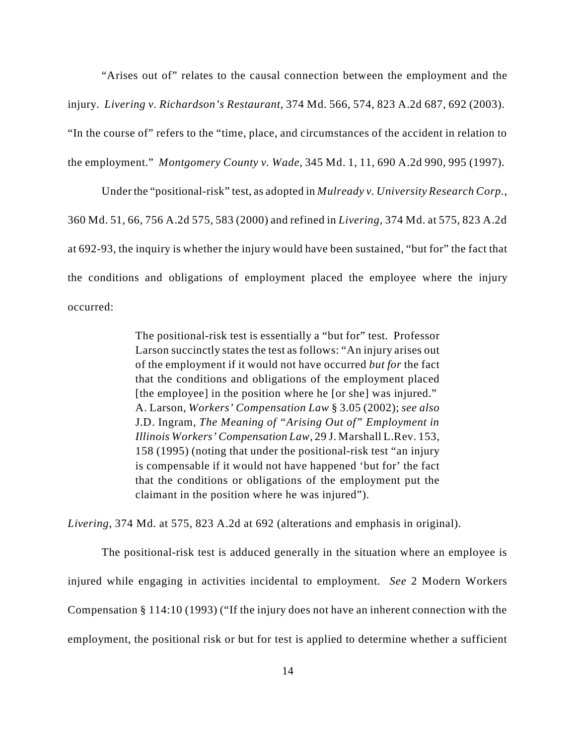"Arises out of" relates to the causal connection between the employment and the injury. *Livering v. Richardson's Restaurant*, 374 Md. 566, 574, 823 A.2d 687, 692 (2003). "In the course of" refers to the "time, place, and circumstances of the accident in relation to the employment." *Montgomery County v. Wade*, 345 Md. 1, 11, 690 A.2d 990, 995 (1997).

Under the "positional-risk" test, as adopted in *Mulready v. University Research Corp.*, 360 Md. 51, 66, 756 A.2d 575, 583 (2000) and refined in *Livering,* 374 Md. at 575, 823 A.2d at 692-93, the inquiry is whether the injury would have been sustained, "but for" the fact that the conditions and obligations of employment placed the employee where the injury occurred:

> The positional-risk test is essentially a "but for" test. Professor Larson succinctly states the test as follows: "An injury arises out of the employment if it would not have occurred *but for* the fact that the conditions and obligations of the employment placed [the employee] in the position where he [or she] was injured." A. Larson, *Workers' Compensation Law* § 3.05 (2002); *see also* J.D. Ingram*, The Meaning of "Arising Out of" Employment in Illinois Workers' Compensation Law*, 29 J. Marshall L.Rev. 153, 158 (1995) (noting that under the positional-risk test "an injury is compensable if it would not have happened 'but for' the fact that the conditions or obligations of the employment put the claimant in the position where he was injured").

*Livering*, 374 Md. at 575, 823 A.2d at 692 (alterations and emphasis in original).

The positional-risk test is adduced generally in the situation where an employee is injured while engaging in activities incidental to employment. *See* 2 Modern Workers Compensation § 114:10 (1993) ("If the injury does not have an inherent connection with the employment, the positional risk or but for test is applied to determine whether a sufficient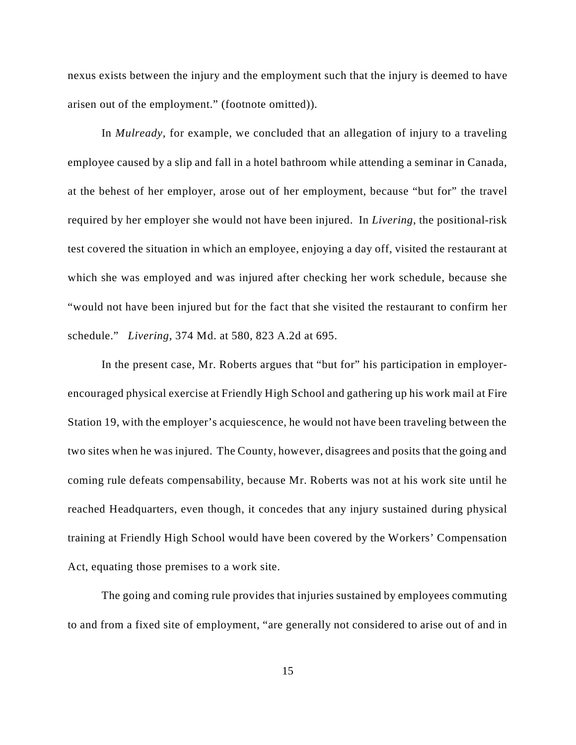nexus exists between the injury and the employment such that the injury is deemed to have arisen out of the employment." (footnote omitted)).

In *Mulready*, for example, we concluded that an allegation of injury to a traveling employee caused by a slip and fall in a hotel bathroom while attending a seminar in Canada, at the behest of her employer, arose out of her employment, because "but for" the travel required by her employer she would not have been injured. In *Livering*, the positional-risk test covered the situation in which an employee, enjoying a day off, visited the restaurant at which she was employed and was injured after checking her work schedule, because she "would not have been injured but for the fact that she visited the restaurant to confirm her schedule." *Livering*, 374 Md. at 580, 823 A.2d at 695.

In the present case, Mr. Roberts argues that "but for" his participation in employerencouraged physical exercise at Friendly High School and gathering up his work mail at Fire Station 19, with the employer's acquiescence, he would not have been traveling between the two sites when he was injured. The County, however, disagrees and posits that the going and coming rule defeats compensability, because Mr. Roberts was not at his work site until he reached Headquarters, even though, it concedes that any injury sustained during physical training at Friendly High School would have been covered by the Workers' Compensation Act, equating those premises to a work site.

The going and coming rule provides that injuries sustained by employees commuting to and from a fixed site of employment, "are generally not considered to arise out of and in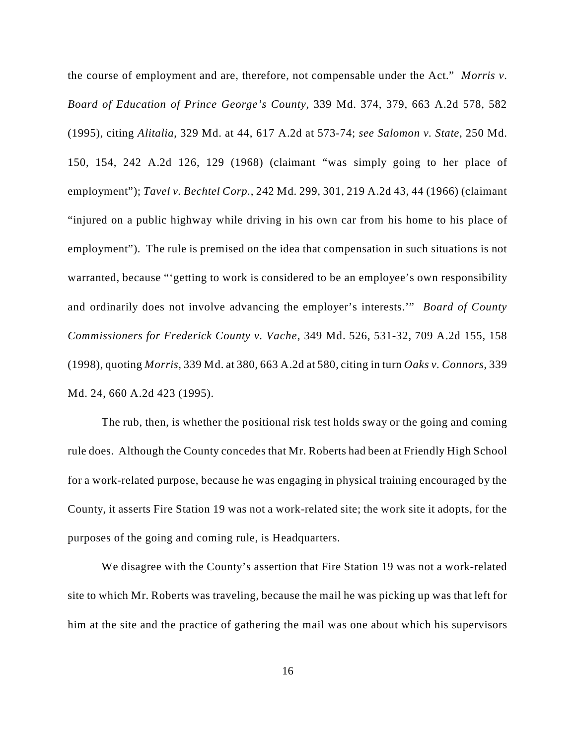the course of employment and are, therefore, not compensable under the Act." *Morris v. Board of Education of Prince George's County*, 339 Md. 374, 379, 663 A.2d 578, 582 (1995), citing *Alitalia*, 329 Md. at 44, 617 A.2d at 573-74; *see Salomon v. State*, 250 Md. 150, 154, 242 A.2d 126, 129 (1968) (claimant "was simply going to her place of employment"); *Tavel v. Bechtel Corp.*, 242 Md. 299, 301, 219 A.2d 43, 44 (1966) (claimant "injured on a public highway while driving in his own car from his home to his place of employment"). The rule is premised on the idea that compensation in such situations is not warranted, because "'getting to work is considered to be an employee's own responsibility and ordinarily does not involve advancing the employer's interests.'" *Board of County Commissioners for Frederick County v. Vache*, 349 Md. 526, 531-32, 709 A.2d 155, 158 (1998), quoting *Morris*, 339 Md. at 380, 663 A.2d at 580, citing in turn *Oaks v. Connors*, 339 Md. 24, 660 A.2d 423 (1995).

The rub, then, is whether the positional risk test holds sway or the going and coming rule does. Although the County concedes that Mr. Roberts had been at Friendly High School for a work-related purpose, because he was engaging in physical training encouraged by the County, it asserts Fire Station 19 was not a work-related site; the work site it adopts, for the purposes of the going and coming rule, is Headquarters.

We disagree with the County's assertion that Fire Station 19 was not a work-related site to which Mr. Roberts was traveling, because the mail he was picking up was that left for him at the site and the practice of gathering the mail was one about which his supervisors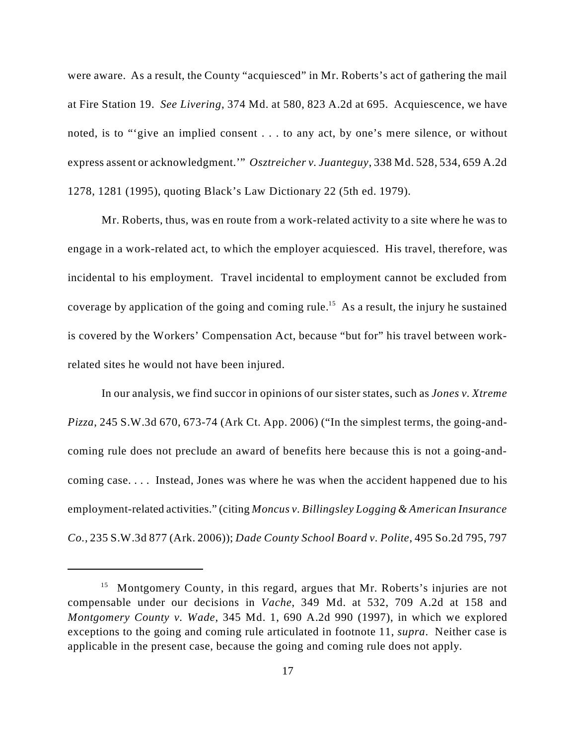were aware. As a result, the County "acquiesced" in Mr. Roberts's act of gathering the mail at Fire Station 19. *See Livering*, 374 Md. at 580, 823 A.2d at 695. Acquiescence, we have noted, is to "'give an implied consent . . . to any act, by one's mere silence, or without express assent or acknowledgment.'" *Osztreicher v. Juanteguy*, 338 Md. 528, 534, 659 A.2d 1278, 1281 (1995), quoting Black's Law Dictionary 22 (5th ed. 1979).

Mr. Roberts, thus, was en route from a work-related activity to a site where he was to engage in a work-related act, to which the employer acquiesced. His travel, therefore, was incidental to his employment. Travel incidental to employment cannot be excluded from coverage by application of the going and coming rule.<sup>15</sup> As a result, the injury he sustained is covered by the Workers' Compensation Act, because "but for" his travel between workrelated sites he would not have been injured.

In our analysis, we find succor in opinions of our sister states, such as *Jones v. Xtreme Pizza*, 245 S.W.3d 670, 673-74 (Ark Ct. App. 2006) ("In the simplest terms, the going-andcoming rule does not preclude an award of benefits here because this is not a going-andcoming case. . . . Instead, Jones was where he was when the accident happened due to his employment-related activities." (citing *Moncus v. Billingsley Logging & American Insurance Co.*, 235 S.W.3d 877 (Ark. 2006)); *Dade County School Board v. Polite*, 495 So.2d 795, 797

<sup>&</sup>lt;sup>15</sup> Montgomery County, in this regard, argues that Mr. Roberts's injuries are not compensable under our decisions in *Vache*, 349 Md. at 532, 709 A.2d at 158 and *Montgomery County v. Wade*, 345 Md. 1, 690 A.2d 990 (1997), in which we explored exceptions to the going and coming rule articulated in footnote 11, *supra*. Neither case is applicable in the present case, because the going and coming rule does not apply.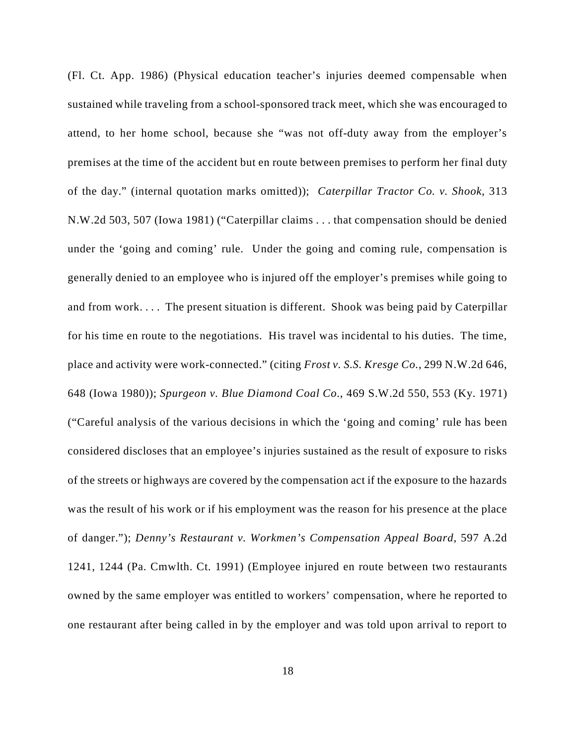(Fl. Ct. App. 1986) (Physical education teacher's injuries deemed compensable when sustained while traveling from a school-sponsored track meet, which she was encouraged to attend, to her home school, because she "was not off-duty away from the employer's premises at the time of the accident but en route between premises to perform her final duty of the day." (internal quotation marks omitted)); *Caterpillar Tractor Co. v. Shook*, 313 N.W.2d 503, 507 (Iowa 1981) ("Caterpillar claims . . . that compensation should be denied under the 'going and coming' rule. Under the going and coming rule, compensation is generally denied to an employee who is injured off the employer's premises while going to and from work. . . . The present situation is different. Shook was being paid by Caterpillar for his time en route to the negotiations. His travel was incidental to his duties. The time, place and activity were work-connected." (citing *Frost v. S.S. Kresge Co.*, 299 N.W.2d 646, 648 (Iowa 1980)); *Spurgeon v. Blue Diamond Coal Co.*, 469 S.W.2d 550, 553 (Ky. 1971) ("Careful analysis of the various decisions in which the 'going and coming' rule has been considered discloses that an employee's injuries sustained as the result of exposure to risks of the streets or highways are covered by the compensation act if the exposure to the hazards was the result of his work or if his employment was the reason for his presence at the place of danger."); *Denny's Restaurant v. Workmen's Compensation Appeal Board*, 597 A.2d 1241, 1244 (Pa. Cmwlth. Ct. 1991) (Employee injured en route between two restaurants owned by the same employer was entitled to workers' compensation, where he reported to one restaurant after being called in by the employer and was told upon arrival to report to